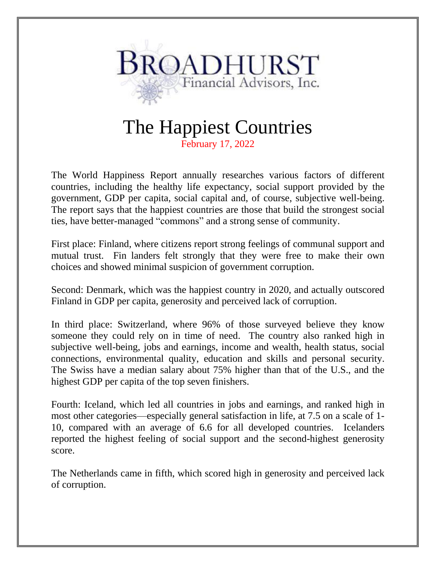

## The Happiest Countries

February 17, 2022

The World Happiness Report annually researches various factors of different countries, including the healthy life expectancy, social support provided by the government, GDP per capita, social capital and, of course, subjective well-being. The report says that the happiest countries are those that build the strongest social ties, have better-managed "commons" and a strong sense of community.

First place: Finland, where citizens report strong feelings of communal support and mutual trust. Fin landers felt strongly that they were free to make their own choices and showed minimal suspicion of government corruption.

Second: Denmark, which was the happiest country in 2020, and actually outscored Finland in GDP per capita, generosity and perceived lack of corruption.

In third place: Switzerland, where 96% of those surveyed believe they know someone they could rely on in time of need. The country also ranked high in subjective well-being, jobs and earnings, income and wealth, health status, social connections, environmental quality, education and skills and personal security. The Swiss have a median salary about 75% higher than that of the U.S., and the highest GDP per capita of the top seven finishers.

Fourth: Iceland, which led all countries in jobs and earnings, and ranked high in most other categories—especially general satisfaction in life, at 7.5 on a scale of 1- 10, compared with an average of 6.6 for all developed countries. Icelanders reported the highest feeling of social support and the second-highest generosity score.

The Netherlands came in fifth, which scored high in generosity and perceived lack of corruption.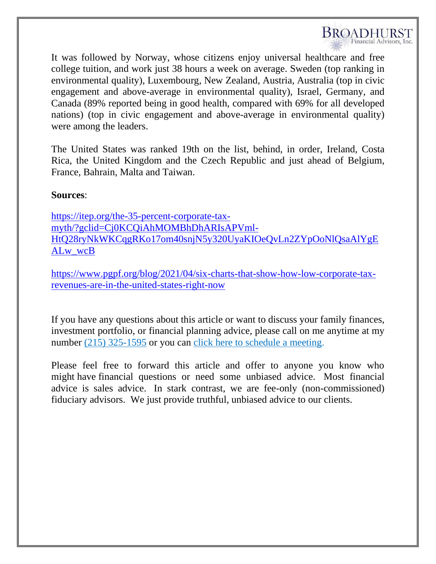

It was followed by Norway, whose citizens enjoy universal healthcare and free college tuition, and work just 38 hours a week on average. Sweden (top ranking in environmental quality), Luxembourg, New Zealand, Austria, Australia (top in civic engagement and above-average in environmental quality), Israel, Germany, and Canada (89% reported being in good health, compared with 69% for all developed nations) (top in civic engagement and above-average in environmental quality) were among the leaders.

The United States was ranked 19th on the list, behind, in order, Ireland, Costa Rica, the United Kingdom and the Czech Republic and just ahead of Belgium, France, Bahrain, Malta and Taiwan.

## **Sources**:

[https://itep.org/the-35-percent-corporate-tax](https://itep.org/the-35-percent-corporate-tax-myth/?gclid=Cj0KCQiAhMOMBhDhARIsAPVml-HtQ28ryNkWKCqgRKo17om40snjN5y320UyaKIOeQvLn2ZYpOoNlQsaAlYgEALw_wcB)[myth/?gclid=Cj0KCQiAhMOMBhDhARIsAPVml-](https://itep.org/the-35-percent-corporate-tax-myth/?gclid=Cj0KCQiAhMOMBhDhARIsAPVml-HtQ28ryNkWKCqgRKo17om40snjN5y320UyaKIOeQvLn2ZYpOoNlQsaAlYgEALw_wcB)[HtQ28ryNkWKCqgRKo17om40snjN5y320UyaKIOeQvLn2ZYpOoNlQsaAlYgE](https://itep.org/the-35-percent-corporate-tax-myth/?gclid=Cj0KCQiAhMOMBhDhARIsAPVml-HtQ28ryNkWKCqgRKo17om40snjN5y320UyaKIOeQvLn2ZYpOoNlQsaAlYgEALw_wcB) [ALw\\_wcB](https://itep.org/the-35-percent-corporate-tax-myth/?gclid=Cj0KCQiAhMOMBhDhARIsAPVml-HtQ28ryNkWKCqgRKo17om40snjN5y320UyaKIOeQvLn2ZYpOoNlQsaAlYgEALw_wcB)

[https://www.pgpf.org/blog/2021/04/six-charts-that-show-how-low-corporate-tax](https://www.pgpf.org/blog/2021/04/six-charts-that-show-how-low-corporate-tax-revenues-are-in-the-united-states-right-now)[revenues-are-in-the-united-states-right-now](https://www.pgpf.org/blog/2021/04/six-charts-that-show-how-low-corporate-tax-revenues-are-in-the-united-states-right-now)

If you have any questions about this article or want to discuss your family finances, investment portfolio, or financial planning advice, please call on me anytime at my number (215) 325-1595 or you can click here to [schedule](https://ind01.safelinks.protection.outlook.com/?url=https%3A%2F%2Fgo.oncehub.com%2FJeffreyBroadhurst&data=04%7C01%7Cravi.sai%40valentabpo.com%7Cc2154ae8426e46d5e9c908d87a1bec02%7Ca71df7bb6c2043dab7a846b7a3aaa21f%7C1%7C0%7C637393607660653673%7CUnknown%7CTWFpbGZsb3d8eyJWIjoiMC4wLjAwMDAiLCJQIjoiV2luMzIiLCJBTiI6Ik1haWwiLCJXVCI6Mn0%3D%7C1000&sdata=N26zQRflvyKxXvb7r9Iak0cBuMHFqu12SqyQoZsHzNw%3D&reserved=0) a meeting.

Please feel free to forward this article and offer to anyone you know who might have financial questions or need some unbiased advice. Most financial advice is sales advice. In stark contrast, we are fee-only (non-commissioned) fiduciary advisors. We just provide truthful, unbiased advice to our clients.